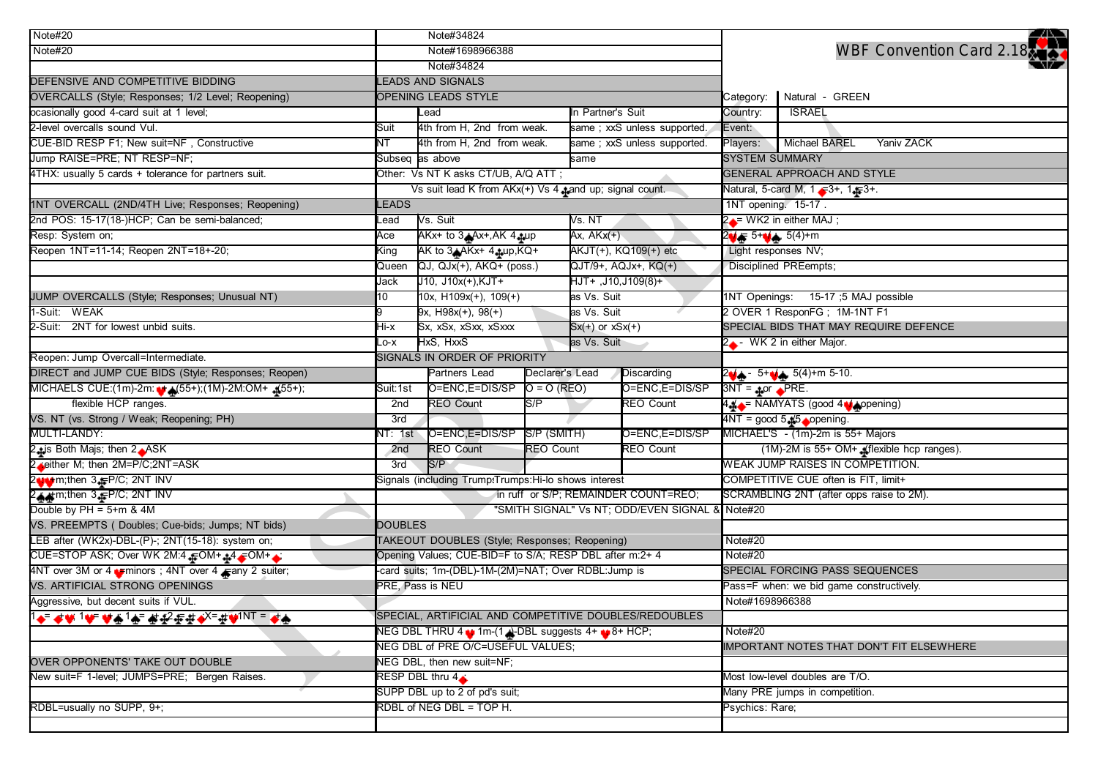| Note#20                                                                                                                                  | Note#34824                                                 |                                                |                  |                             |                                           |                                                     |                                                             | 24                                    |  |
|------------------------------------------------------------------------------------------------------------------------------------------|------------------------------------------------------------|------------------------------------------------|------------------|-----------------------------|-------------------------------------------|-----------------------------------------------------|-------------------------------------------------------------|---------------------------------------|--|
| Note#20                                                                                                                                  | Note#1698966388                                            |                                                |                  |                             |                                           |                                                     |                                                             | WBF Convention Card 2.18              |  |
|                                                                                                                                          | Note#34824                                                 |                                                |                  |                             |                                           |                                                     |                                                             |                                       |  |
| DEFENSIVE AND COMPETITIVE BIDDING                                                                                                        | LEADS AND SIGNALS                                          |                                                |                  |                             |                                           |                                                     |                                                             |                                       |  |
| OVERCALLS (Style; Responses; 1/2 Level; Reopening)                                                                                       | OPENING LEADS STYLE                                        |                                                |                  |                             |                                           |                                                     | Natural - GREEN                                             |                                       |  |
| ocasionally good 4-card suit at 1 level;                                                                                                 | Lead                                                       |                                                |                  | In Partner's Suit           |                                           | Country:                                            | <b>ISRAEL</b>                                               |                                       |  |
| 2-level overcalls sound Vul.                                                                                                             | Suit                                                       | 4th from H, 2nd from weak.                     |                  |                             | same; xxS unless supported.               | Event:                                              |                                                             |                                       |  |
| CUE-BID RESP F1; New suit=NF, Constructive                                                                                               | ΝT                                                         | 4th from H, 2nd from weak.                     |                  | same; xxS unless supported. |                                           | Players:                                            | <b>Michael BAREL</b>                                        | Yaniv ZACK                            |  |
| Jump RAISE=PRE; NT RESP=NF;                                                                                                              |                                                            | Subseq as above                                |                  | same                        |                                           | <b>SYSTEM SUMMARY</b>                               |                                                             |                                       |  |
| 4THX: usually 5 cards + tolerance for partners suit.                                                                                     | Other: Vs NT K asks CT/UB, A/Q ATT;                        |                                                |                  |                             |                                           | GENERAL APPROACH AND STYLE                          |                                                             |                                       |  |
|                                                                                                                                          | Vs suit lead K from AKx(+) Vs 4 pand up; signal count.     |                                                |                  |                             |                                           | Natural, 5-card M, 1 $\sqrt{3}$ +, 1 $\sqrt{3}$ +.  |                                                             |                                       |  |
| 1NT OVERCALL (2ND/4TH Live; Responses; Reopening)                                                                                        | LEADS                                                      |                                                |                  | 1NT opening. 15-17.         |                                           |                                                     |                                                             |                                       |  |
| 2nd POS: 15-17(18-)HCP; Can be semi-balanced;                                                                                            | _ead                                                       | Vs. Suit<br>Vs. NT                             |                  |                             | $2 \rightarrow WK2$ in either MAJ;        |                                                     |                                                             |                                       |  |
| Resp: System on;                                                                                                                         | Ace                                                        | AKx+ to 3 Ax+, AK 4 -tup                       |                  | Ax, $AKx(+)$                |                                           | $2 + 5 + 4 + 5(4) + m$                              |                                                             |                                       |  |
| Reopen 1NT=11-14; Reopen 2NT=18+-20;                                                                                                     | King                                                       | AK to $3A$ AKx+ $4A$ up, KQ+                   |                  | AKJT(+), KQ109(+) etc       |                                           | Light responses NV;                                 |                                                             |                                       |  |
|                                                                                                                                          | Queen                                                      | QJ, QJx(+), AKQ+ (poss.)                       |                  |                             | QJT/9+, AQJx+, KQ(+)                      |                                                     | Disciplined PREempts;                                       |                                       |  |
|                                                                                                                                          | Jack                                                       | J10, J10x(+), KJT+                             |                  | HJT+,J10,J109(8)+           |                                           |                                                     |                                                             |                                       |  |
| JUMP OVERCALLS (Style; Responses; Unusual NT)                                                                                            | 10                                                         | 10x, $H109x(+)$ , $109(+)$                     |                  | as Vs. Suit                 |                                           |                                                     | 1NT Openings: 15-17 ;5 MAJ possible                         |                                       |  |
| 1-Suit: WEAK                                                                                                                             | 19                                                         | $9x, H98x(+), 98(+)$                           |                  | as Vs. Suit                 |                                           |                                                     | 2 OVER 1 ResponFG; 1M-1NT F1                                |                                       |  |
| 2-Suit: 2NT for lowest unbid suits.                                                                                                      | Hi-x                                                       | Sx, xSx, xSxx, xSxxx                           |                  | $Sx(+)$ or $xSx(+)$         |                                           |                                                     |                                                             | SPECIAL BIDS THAT MAY REQUIRE DEFENCE |  |
|                                                                                                                                          | as Vs. Suit<br>HxS, HxxS<br>Lo-x                           |                                                |                  | 2. WK 2 in either Major.    |                                           |                                                     |                                                             |                                       |  |
| Reopen: Jump Overcall=Intermediate.                                                                                                      | SIGNALS IN ORDER OF PRIORITY                               |                                                |                  |                             |                                           |                                                     |                                                             |                                       |  |
| DIRECT and JUMP CUE BIDS (Style; Responses; Reopen)                                                                                      |                                                            | Partners Lead<br>Declarer's Lead<br>Discarding |                  |                             |                                           | $2\psi + -5$ 5+ $\psi + 5(4)$ +m 5-10.              |                                                             |                                       |  |
| MICHAELS CUE:(1m)-2m: + (55+);(1M)-2M:OM+ (55+);                                                                                         | Suit:1st                                                   | O=ENC,E=DIS/SP                                 | $O = O (REO)$    |                             | O=ENC, E=DIS/SP                           | $3NT = 4 or  PRE.$                                  |                                                             |                                       |  |
| flexible HCP ranges.                                                                                                                     | <b>REO Count</b><br>S/P<br>2nd                             |                                                |                  |                             | <b>REO Count</b>                          |                                                     | 4 + = NAMYATS (good 4 + ppening)                            |                                       |  |
| VS. NT (vs. Strong / Weak; Reopening; PH)                                                                                                | 3rd                                                        |                                                |                  |                             |                                           | $4NT = good 5.45$ opening.                          |                                                             |                                       |  |
| MULTI-LANDY:                                                                                                                             | NT: 1st                                                    | O=ENC,E=DIS/SP S/P (SMITH)                     |                  | O=ENC, E=DIS/SP             |                                           |                                                     |                                                             | MICHAEL'S - (1m)-2m is 55+ Majors     |  |
| 2 <sub>1</sub> is Both Majs; then 2 <sub>1</sub> ASK                                                                                     | <b>REO Count</b><br><b>REO Count</b><br>2 <sub>nd</sub>    |                                                | <b>REO Count</b> |                             | (1M)-2M is 55+ OM+ _fiexible hcp ranges). |                                                     |                                                             |                                       |  |
| 2 either M; then 2M=P/C;2NT=ASK                                                                                                          | 3rd                                                        | S/P                                            |                  |                             |                                           | WEAK JUMP RAISES IN COMPETITION.                    |                                                             |                                       |  |
| 2 wttp://then 3. February.com/<br>2. february.com/2. February.com/2. february.com/<br>2. february.com/2. february.com/2. february.com/2. | Signals (including Trump:Trumps:Hi-lo shows interest       |                                                |                  |                             |                                           |                                                     |                                                             | COMPETITIVE CUE often is FIT, limit+  |  |
|                                                                                                                                          | in ruff or S/P; REMAINDER COUNT=REO;                       |                                                |                  |                             |                                           | SCRAMBLING 2NT (after opps raise to 2M).            |                                                             |                                       |  |
| Double by $PH = 5+m$ & $4M$                                                                                                              | "SMITH SIGNAL" Vs NT; ODD/EVEN SIGNAL & Note#20            |                                                |                  |                             |                                           |                                                     |                                                             |                                       |  |
| VS. PREEMPTS (Doubles; Cue-bids; Jumps; NT bids)                                                                                         | <b>DOUBLES</b>                                             |                                                |                  |                             |                                           | Note#20                                             |                                                             |                                       |  |
| LEB after (WK2x)-DBL-(P)-; 2NT(15-18): system on;                                                                                        | TAKEOUT DOUBLES (Style; Responses; Reopening)              |                                                |                  |                             |                                           |                                                     |                                                             |                                       |  |
| CUE=STOP ASK; Over WK 2M:4 FOM+ +4 FOM+ +:                                                                                               | Opening Values; CUE-BID=F to S/A; RESP DBL after m:2+ 4    |                                                |                  |                             |                                           |                                                     |                                                             |                                       |  |
| 4NT over 3M or 4 minors ; 4NT over 4 many 2 suiter;                                                                                      | -card suits; 1m-(DBL)-1M-(2M)=NAT; Over RDBL:Jump is       |                                                |                  |                             |                                           |                                                     |                                                             | SPECIAL FORCING PASS SEQUENCES        |  |
| VS. ARTIFICIAL STRONG OPENINGS                                                                                                           | PRE, Pass is NEU                                           |                                                |                  |                             |                                           |                                                     | Pass=F when: we bid game constructively.<br>Note#1698966388 |                                       |  |
| Aggressive, but decent suits if VUL.                                                                                                     |                                                            |                                                |                  |                             |                                           |                                                     |                                                             |                                       |  |
| <mark>1�F #₩1₩ ₩♠1♠F #£</mark> ?##◆ <sup>X=</sup> #₩INT = <mark>₽</mark> ♠                                                               | SPECIAL, ARTIFICIAL AND COMPETITIVE DOUBLES/REDOUBLES      |                                                |                  |                             |                                           |                                                     |                                                             |                                       |  |
|                                                                                                                                          | NEG DBL THRU 4 \t 1m-(1 \DBL suggests 4+ \t 8+ HCP;        |                                                |                  |                             |                                           | Note#20<br>IMPORTANT NOTES THAT DON'T FIT ELSEWHERE |                                                             |                                       |  |
|                                                                                                                                          | NEG DBL of PRE O/C=USEFUL VALUES;                          |                                                |                  |                             |                                           |                                                     |                                                             |                                       |  |
| OVER OPPONENTS' TAKE OUT DOUBLE                                                                                                          | NEG DBL, then new suit=NF;                                 |                                                |                  |                             |                                           |                                                     |                                                             |                                       |  |
| New suit=F 1-level; JUMPS=PRE; Bergen Raises.                                                                                            | RESP DBL thru 4                                            |                                                |                  |                             |                                           | Most low-level doubles are T/O.                     |                                                             |                                       |  |
|                                                                                                                                          | SUPP DBL up to 2 of pd's suit;<br>RDBL of NEG DBL = TOP H. |                                                |                  |                             |                                           | Many PRE jumps in competition.<br>Psychics: Rare;   |                                                             |                                       |  |
| RDBL=usually no SUPP, 9+;                                                                                                                |                                                            |                                                |                  |                             |                                           |                                                     |                                                             |                                       |  |